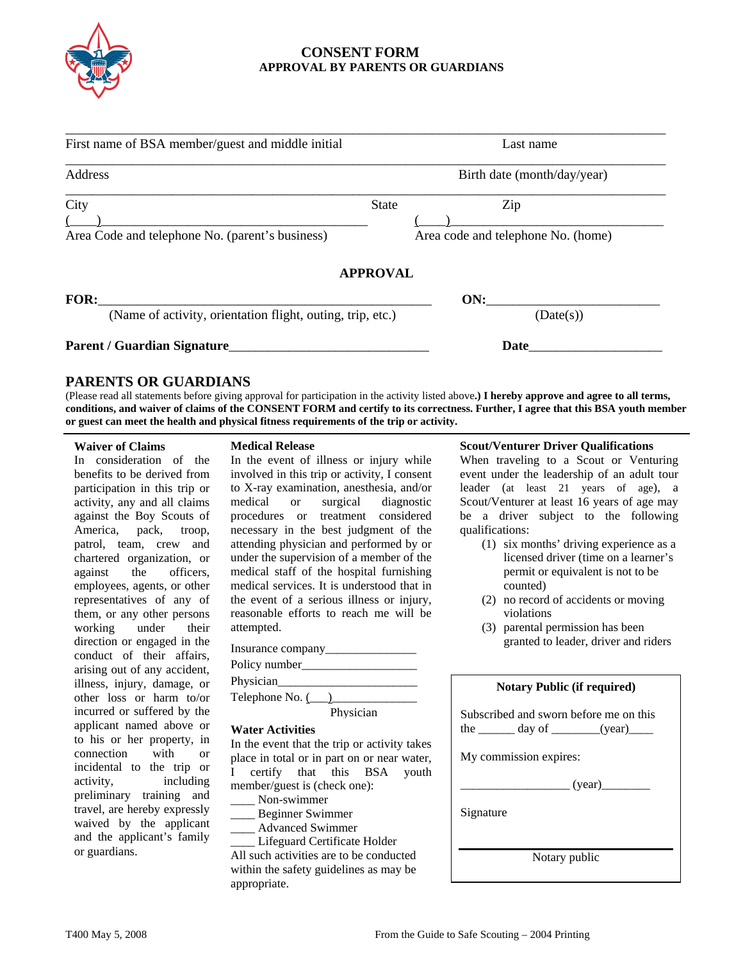

# **CONSENT FORM APPROVAL BY PARENTS OR GUARDIANS**

| First name of BSA member/guest and middle initial          | Last name                          |
|------------------------------------------------------------|------------------------------------|
| Address                                                    | Birth date (month/day/year)        |
| City                                                       | <b>State</b><br>Zip                |
| Area Code and telephone No. (parent's business)            | Area code and telephone No. (home) |
|                                                            | <b>APPROVAL</b>                    |
| FOR:                                                       | ON:                                |
| (Name of activity, orientation flight, outing, trip, etc.) | (Date(s))                          |
| <b>Parent / Guardian Signature</b>                         | Date                               |

## **PARENTS OR GUARDIANS**

(Please read all statements before giving approval for participation in the activity listed above**.) I hereby approve and agree to all terms, conditions, and waiver of claims of the CONSENT FORM and certify to its correctness. Further, I agree that this BSA youth member or guest can meet the health and physical fitness requirements of the trip or activity.** 

### **Waiver of Claims**

In consideration of the benefits to be derived from participation in this trip or activity, any and all claims against the Boy Scouts of America, pack, troop, patrol, team, crew and chartered organization, or against the officers, employees, agents, or other representatives of any of them, or any other persons working under their direction or engaged in the conduct of their affairs, arising out of any accident, illness, injury, damage, or other loss or harm to/or incurred or suffered by the applicant named above or to his or her property, in connection with or incidental to the trip or activity, including preliminary training and travel, are hereby expressly waived by the applicant and the applicant's family or guardians.

## **Medical Release**

In the event of illness or injury while involved in this trip or activity, I consent to X-ray examination, anesthesia, and/or medical or surgical diagnostic procedures or treatment considered necessary in the best judgment of the attending physician and performed by or under the supervision of a member of the medical staff of the hospital furnishing medical services. It is understood that in the event of a serious illness or injury, reasonable efforts to reach me will be attempted.

| Insurance company |
|-------------------|
|-------------------|

Policy number\_

Physician\_

Telephone  $No.$   $($ 

Physician

#### **Water Activities**

In the event that the trip or activity takes place in total or in part on or near water, I certify that this BSA youth member/guest is (check one):

- \_\_\_\_ Non-swimmer
- \_\_\_\_ Beginner Swimmer
- \_\_\_\_ Advanced Swimmer

\_\_\_\_ Lifeguard Certificate Holder All such activities are to be conducted within the safety guidelines as may be appropriate.

#### **Scout/Venturer Driver Qualifications**

When traveling to a Scout or Venturing event under the leadership of an adult tour leader (at least 21 years of age), a Scout/Venturer at least 16 years of age may be a driver subject to the following qualifications:

- (1) six months' driving experience as a licensed driver (time on a learner's permit or equivalent is not to be counted)
- (2) no record of accidents or moving violations
- (3) parental permission has been granted to leader, driver and riders

|  | <b>Notary Public (if required)</b> |
|--|------------------------------------|
|  |                                    |

| Subscribed and sworn before me on this |  |                                 |
|----------------------------------------|--|---------------------------------|
| the                                    |  | $\equiv$ day of $\equiv$ (year) |
|                                        |  |                                 |

My commission expires:

 $(year)$ 

Signature

Notary public